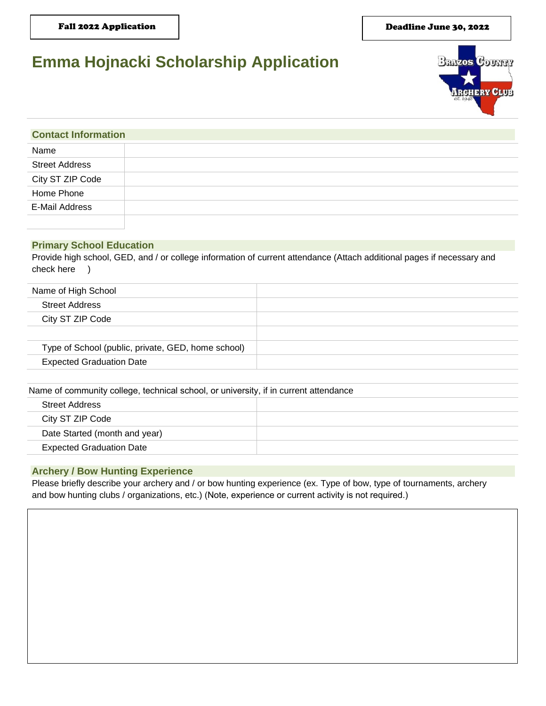#### Deadline June 30, 2022

# **Emma Hojnacki Scholarship Application**



| <b>Contact Information</b> |  |  |
|----------------------------|--|--|
| Name                       |  |  |
| <b>Street Address</b>      |  |  |
| City ST ZIP Code           |  |  |
| Home Phone                 |  |  |
| E-Mail Address             |  |  |
|                            |  |  |

# **Primary School Education**

Provide high school, GED, and / or college information of current attendance (Attach additional pages if necessary and check here )

| Name of High School                                |  |
|----------------------------------------------------|--|
| <b>Street Address</b>                              |  |
| City ST ZIP Code                                   |  |
|                                                    |  |
| Type of School (public, private, GED, home school) |  |
| <b>Expected Graduation Date</b>                    |  |
|                                                    |  |

| Name of community college, technical school, or university, if in current attendance |  |  |
|--------------------------------------------------------------------------------------|--|--|
| <b>Street Address</b>                                                                |  |  |
| City ST ZIP Code                                                                     |  |  |
| Date Started (month and year)                                                        |  |  |
| <b>Expected Graduation Date</b>                                                      |  |  |
|                                                                                      |  |  |

## **Archery / Bow Hunting Experience**

Please briefly describe your archery and / or bow hunting experience (ex. Type of bow, type of tournaments, archery and bow hunting clubs / organizations, etc.) (Note, experience or current activity is not required.)